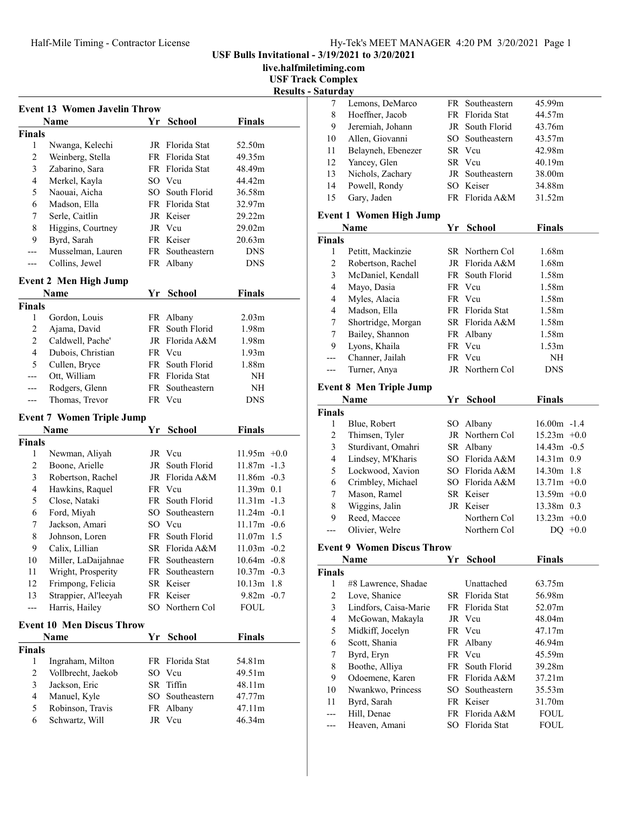USF Bulls Invitational - 3/19/2021 to 3/20/2021

live.halfmiletiming.com

USF Track Complex

|                | <b>Name</b>                      | Yr   | School          | Finals            |
|----------------|----------------------------------|------|-----------------|-------------------|
| <b>Finals</b>  |                                  |      |                 |                   |
| $\mathbf{1}$   | Nwanga, Kelechi                  |      | JR Florida Stat | 52.50m            |
| 2              | Weinberg, Stella                 |      | FR Florida Stat | 49.35m            |
| 3              | Zabarino, Sara                   |      | FR Florida Stat | 48.49m            |
| 4              | Merkel, Kayla                    |      | SO Vcu          | 44.42m            |
| 5              | Naouai, Aicha                    | SO - | South Florid    | 36.58m            |
| 6              | Madson, Ella                     |      | FR Florida Stat | 32.97m            |
| 7              | Serle, Caitlin                   |      | JR Keiser       | 29.22m            |
| 8              | Higgins, Courtney                |      | JR Vcu          | 29.02m            |
| 9              | Byrd, Sarah                      |      | FR Keiser       | 20.63m            |
| ---            | Musselman, Lauren                |      | FR Southeastern | <b>DNS</b>        |
| ---            | Collins, Jewel                   |      | FR Albany       | <b>DNS</b>        |
|                |                                  |      |                 |                   |
|                | <b>Event 2 Men High Jump</b>     |      |                 |                   |
|                | <b>Name</b>                      |      | Yr School       | Finals            |
| <b>Finals</b>  |                                  |      |                 |                   |
| 1              | Gordon, Louis                    |      | FR Albany       | 2.03 <sub>m</sub> |
| 2              | Ajama, David                     | FR   | South Florid    | 1.98m             |
| $\overline{c}$ | Caldwell, Pache'                 | JR   | Florida A&M     | 1.98m             |
| $\overline{4}$ | Dubois, Christian                |      | FR Vcu          | 1.93m             |
| 5              | Cullen, Bryce                    | FR   | South Florid    | 1.88m             |
| ---            | Ott, William                     |      | FR Florida Stat | NΗ                |
| ---            | Rodgers, Glenn                   |      | FR Southeastern | NH                |
| ---            | Thomas, Trevor                   |      | FR Vcu          | DNS               |
|                | <b>Event 7 Women Triple Jump</b> |      |                 |                   |
|                |                                  |      |                 |                   |
|                |                                  |      |                 |                   |
|                | Name                             | Yr   | <b>School</b>   | Finals            |
| <b>Finals</b>  |                                  |      |                 |                   |
| 1              | Newman, Aliyah                   |      | JR Vcu          | $11.95m +0.0$     |
| 2              | Boone, Arielle                   | JR   | South Florid    | $11.87m - 1.3$    |
| 3              | Robertson, Rachel                |      | JR Florida A&M  | $11.86m - 0.3$    |
| 4              | Hawkins, Raquel                  |      | FR Vcu          | $11.39m$ 0.1      |
| 5              | Close, Nataki                    | FR   | South Florid    | $11.31m - 1.3$    |
| 6              | Ford, Miyah                      | SO - | Southeastern    | $11.24m - 0.1$    |
| 7              | Jackson, Amari                   |      | SO Vcu          | 11.17m -0.6       |
| 8              | Johnson, Loren                   |      | FR South Florid | 11.07m 1.5        |
| 9              | Calix, Lillian                   |      | SR Florida A&M  | $11.03m - 0.2$    |
| 10             | Miller, LaDaijahnae              |      | FR Southeastern | $10.64m - 0.8$    |
| 11             | Wright, Prosperity               |      | FR Southeastern | $10.37m - 0.3$    |
| 12             | Frimpong, Felicia                |      | SR Keiser       | $10.13m$ 1.8      |
| 13             | Strappier, Al'leeyah             |      | FR Keiser       | $9.82m -0.7$      |
| ---            | Harris, Hailey                   |      | SO Northern Col | <b>FOUL</b>       |
|                | <b>Event 10 Men Discus Throw</b> |      |                 |                   |
|                | Name                             | Yr   | <b>School</b>   | <b>Finals</b>     |
| <b>Finals</b>  |                                  |      |                 |                   |
| 1              | Ingraham, Milton                 |      | FR Florida Stat | 54.81m            |
| 2              | Vollbrecht, Jaekob               |      | SO Vcu          | 49.51m            |
| 3              | Jackson, Eric                    | SR   | Tiffin          | 48.11m            |
| $\overline{4}$ | Manuel, Kyle                     | SO   | Southeastern    | 47.77m            |
| 5              | Robinson, Travis                 |      | FR Albany       | 47.11m            |

|               | <b>Results - Saturday</b> |                                   |                 |                   |  |
|---------------|---------------------------|-----------------------------------|-----------------|-------------------|--|
|               | 7                         | Lemons, DeMarco                   | FR Southeastern | 45.99m            |  |
|               | 8                         | Hoeffner, Jacob                   | FR Florida Stat | 44.57m            |  |
|               | 9                         | Jeremiah, Johann                  | JR South Florid | 43.76m            |  |
|               | 10                        | Allen, Giovanni                   | SO Southeastern | 43.57m            |  |
|               | 11                        | Belayneh, Ebenezer                | SR Vcu          | 42.98m            |  |
|               | 12                        | Yancey, Glen                      | SR Vcu          | 40.19m            |  |
|               | 13                        | Nichols, Zachary                  | JR Southeastern | 38.00m            |  |
|               | 14                        | Powell, Rondy                     | SO Keiser       | 34.88m            |  |
|               | 15                        | Gary, Jaden                       | FR Florida A&M  | 31.52m            |  |
|               |                           |                                   |                 |                   |  |
|               |                           | <b>Event 1 Women High Jump</b>    |                 |                   |  |
|               |                           | Name                              | Yr School       | <b>Finals</b>     |  |
|               | <b>Finals</b>             |                                   |                 |                   |  |
|               | 1                         | Petitt, Mackinzie                 | SR Northern Col | 1.68m             |  |
|               | 2                         | Robertson, Rachel                 | JR Florida A&M  | 1.68 <sub>m</sub> |  |
|               | 3                         | McDaniel, Kendall                 | FR South Florid | 1.58m             |  |
|               | 4                         | Mayo, Dasia                       | FR Vcu          | 1.58m             |  |
|               | 4                         | Myles, Alacia                     | FR Vcu          | 1.58m             |  |
|               | 4                         | Madson, Ella                      | FR Florida Stat | 1.58m             |  |
|               | 7                         | Shortridge, Morgan                | SR Florida A&M  | 1.58m             |  |
|               | 7                         | Bailey, Shannon                   | FR Albany       | 1.58m             |  |
|               | 9                         | Lyons, Khaila                     | FR Vcu          | 1.53m             |  |
|               | ---                       | Channer, Jailah                   | FR Vcu          | NH                |  |
|               | ---                       | Turner, Anya                      | JR Northern Col | <b>DNS</b>        |  |
|               |                           | <b>Event 8 Men Triple Jump</b>    |                 |                   |  |
|               |                           | Name                              | Yr School       | <b>Finals</b>     |  |
|               | <b>Finals</b>             |                                   |                 |                   |  |
|               | 1                         | Blue, Robert                      | SO Albany       | $16.00m - 1.4$    |  |
|               | $\overline{2}$            | Thimsen, Tyler                    | JR Northern Col | $15.23m +0.0$     |  |
|               | 3                         | Sturdivant, Omahri                | SR Albany       | $14.43m - 0.5$    |  |
| $-0.0$        | 4                         | Lindsey, M'Kharis                 | SO Florida A&M  | $14.31m$ 0.9      |  |
| 1.3           | 5                         | Lockwood, Xavion                  | SO Florida A&M  | 14.30m 1.8        |  |
| 0.3           | 6                         | Crimbley, Michael                 | SO Florida A&M  | $13.71m +0.0$     |  |
| .1            | 7                         | Mason, Ramel                      | SR Keiser       | $13.59m +0.0$     |  |
| 1.3           | 8                         | Wiggins, Jalin                    | JR Keiser       | 13.38m 0.3        |  |
| 0.1           | 9                         | Reed, Maccee                      | Northern Col    | $13.23m +0.0$     |  |
| 0.6           | $---$                     | Olivier, Welre                    | Northern Col    | DQ $+0.0$         |  |
| .5            |                           |                                   |                 |                   |  |
| 0.2           |                           | <b>Event 9 Women Discus Throw</b> |                 |                   |  |
| $0.8\,$       |                           | Name                              | Yr School       | Finals            |  |
| 0.3           | <b>Finals</b>             |                                   |                 |                   |  |
| $\mathbf{.8}$ | 1                         | #8 Lawrence, Shadae               | Unattached      | 63.75m            |  |
| 0.7           | $\overline{c}$            | Love, Shanice                     | SR Florida Stat | 56.98m            |  |
|               | 3                         | Lindfors, Caisa-Marie             | FR Florida Stat | 52.07m            |  |
|               | 4                         | McGowan, Makayla                  | JR Vcu          | 48.04m            |  |
|               | 5                         | Midkiff, Jocelyn                  | FR Vcu          | 47.17m            |  |
|               | 6                         | Scott, Shania                     | FR Albany       | 46.94m            |  |
|               | 7                         | Byrd, Eryn                        | FR Vcu          | 45.59m            |  |
|               | 8                         | Boothe, Alliya                    | FR South Florid | 39.28m            |  |
|               | 9                         | Odoemene, Karen                   | FR Florida A&M  | 37.21m            |  |
|               | 10                        | Nwankwo, Princess                 | SO Southeastern | 35.53m            |  |
|               | 11                        | Byrd, Sarah                       | FR Keiser       | 31.70m            |  |
|               | ---                       | Hill, Denae                       | FR Florida A&M  | FOUL              |  |
|               | ---                       | Heaven, Amani                     | SO Florida Stat | FOUL              |  |
|               |                           |                                   |                 |                   |  |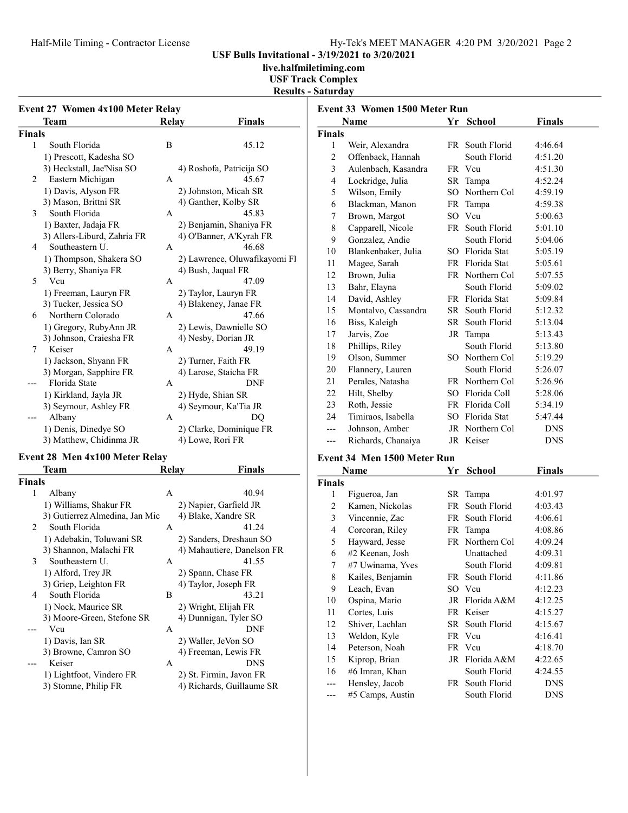# Half-Mile Timing - Contractor License Hy-Tek's MEET MANAGER 4:20 PM 3/20/2021 Page 2

USF Bulls Invitational - 3/19/2021 to 3/20/2021

live.halfmiletiming.com

## USF Track Complex Results - Saturday

| Event 27 Women 4x100 Meter Relay |                             |              |                               |  |  |  |
|----------------------------------|-----------------------------|--------------|-------------------------------|--|--|--|
|                                  | <b>Team</b>                 | Relay        | <b>Finals</b>                 |  |  |  |
| <b>Finals</b>                    |                             |              |                               |  |  |  |
| 1                                | South Florida               | B            | 45.12                         |  |  |  |
|                                  | 1) Prescott, Kadesha SO     |              |                               |  |  |  |
|                                  | 3) Heckstall, Jae'Nisa SO   |              | 4) Roshofa, Patricija SO      |  |  |  |
| 2                                | Eastern Michigan            | $\mathsf{A}$ | 45.67                         |  |  |  |
|                                  | 1) Davis, Alyson FR         |              | 2) Johnston, Micah SR         |  |  |  |
|                                  | 3) Mason, Brittni SR        |              | 4) Ganther, Kolby SR          |  |  |  |
| 3                                | South Florida               | $\mathsf{A}$ | 45.83                         |  |  |  |
|                                  | 1) Baxter, Jadaja FR        |              | 2) Benjamin, Shaniya FR       |  |  |  |
|                                  | 3) Allers-Liburd, Zahria FR |              | 4) O'Banner, A'Kyrah FR       |  |  |  |
| 4                                | Southeastern U.             | А            | 46.68                         |  |  |  |
|                                  | 1) Thompson, Shakera SO     |              | 2) Lawrence, Oluwafikayomi Fl |  |  |  |
|                                  | 3) Berry, Shaniya FR        |              | 4) Bush, Jaqual FR            |  |  |  |
| 5                                | Vcu                         | $\mathsf{A}$ | 47.09                         |  |  |  |
|                                  | 1) Freeman, Lauryn FR       |              | 2) Taylor, Lauryn FR          |  |  |  |
|                                  | 3) Tucker, Jessica SO       |              | 4) Blakeney, Janae FR         |  |  |  |
| 6                                | Northern Colorado           | $\mathsf{A}$ | 47.66                         |  |  |  |
|                                  | 1) Gregory, RubyAnn JR      |              | 2) Lewis, Dawnielle SO        |  |  |  |
|                                  | 3) Johnson, Craiesha FR     |              | 4) Nesby, Dorian JR           |  |  |  |
| 7                                | Keiser                      | A            | 49.19                         |  |  |  |
|                                  | 1) Jackson, Shyann FR       |              | 2) Turner, Faith FR           |  |  |  |
|                                  | 3) Morgan, Sapphire FR      |              | 4) Larose, Staicha FR         |  |  |  |
|                                  | Florida State               | $\mathsf{A}$ | <b>DNF</b>                    |  |  |  |
|                                  | 1) Kirkland, Jayla JR       |              | 2) Hyde, Shian SR             |  |  |  |
|                                  | 3) Seymour, Ashley FR       |              | 4) Seymour, Ka'Tia JR         |  |  |  |
|                                  | Albany                      | A            | DO                            |  |  |  |
|                                  | 1) Denis, Dinedye SO        |              | 2) Clarke, Dominique FR       |  |  |  |
|                                  | 3) Matthew, Chidinma JR     |              | 4) Lowe, Rori FR              |  |  |  |

# Event 28 Men  $4x100$  Meter Relay

|        | Team                           | Relay | <b>Finals</b>              |
|--------|--------------------------------|-------|----------------------------|
| Finals |                                |       |                            |
| 1      | Albany                         | A     | 40.94                      |
|        | 1) Williams, Shakur FR         |       | 2) Napier, Garfield JR     |
|        | 3) Gutierrez Almedina, Jan Mic |       | 4) Blake, Xandre SR        |
| 2      | South Florida                  | A     | 41.24                      |
|        | 1) Adebakin, Toluwani SR       |       | 2) Sanders, Dreshaun SO    |
|        | 3) Shannon, Malachi FR         |       | 4) Mahautiere, Danelson FR |
| 3      | Southeastern U.                | А     | 41.55                      |
|        | 1) Alford, Trey JR             |       | 2) Spann, Chase FR         |
|        | 3) Griep, Leighton FR          |       | 4) Taylor, Joseph FR       |
| 4      | South Florida                  | B     | 43.21                      |
|        | 1) Nock, Maurice SR            |       | 2) Wright, Elijah FR       |
|        | 3) Moore-Green, Stefone SR     |       | 4) Dunnigan, Tyler SO      |
|        | Vcu                            | A     | DNF                        |
|        | 1) Davis, Ian SR               |       | 2) Waller, JeVon SO        |
|        | 3) Browne, Camron SO           |       | 4) Freeman, Lewis FR       |
|        | Keiser                         | A     | <b>DNS</b>                 |
|        | 1) Lightfoot, Vindero FR       |       | 2) St. Firmin, Javon FR    |
|        | 3) Stomne, Philip FR           |       | 4) Richards, Guillaume SR  |

|                | Name                | Yr  | <b>School</b>   | <b>Finals</b> |
|----------------|---------------------|-----|-----------------|---------------|
| <b>Finals</b>  |                     |     |                 |               |
| 1              | Weir, Alexandra     |     | FR South Florid | 4:46.64       |
| $\mathfrak{2}$ | Offenback, Hannah   |     | South Florid    | 4:51.20       |
| 3              | Aulenbach, Kasandra |     | FR Vcu          | 4:51.30       |
| $\overline{4}$ | Lockridge, Julia    | SR  | Tampa           | 4:52.24       |
| 5              | Wilson, Emily       | SO. | Northern Col    | 4:59.19       |
| 6              | Blackman, Manon     | FR  | Tampa           | 4:59.38       |
| 7              | Brown, Margot       | SO. | Vcu             | 5:00.63       |
| 8              | Capparell, Nicole   | FR  | South Florid    | 5:01.10       |
| 9              | Gonzalez, Andie     |     | South Florid    | 5:04.06       |
| 10             | Blankenbaker, Julia |     | SO Florida Stat | 5:05.19       |
| 11             | Magee, Sarah        |     | FR Florida Stat | 5:05.61       |
| 12             | Brown, Julia        |     | FR Northern Col | 5:07.55       |
| 13             | Bahr, Elayna        |     | South Florid    | 5:09.02       |
| 14             | David, Ashley       |     | FR Florida Stat | 5:09.84       |
| 15             | Montalvo, Cassandra | SR. | South Florid    | 5:12.32       |
| 16             | Biss, Kaleigh       | SR  | South Florid    | 5:13.04       |
| 17             | Jarvis, Zoe         | JR  | Tampa           | 5:13.43       |
| 18             | Phillips, Riley     |     | South Florid    | 5:13.80       |
| 19             | Olson, Summer       | SO. | Northern Col    | 5:19.29       |
| 20             | Flannery, Lauren    |     | South Florid    | 5:26.07       |
| 21             | Perales, Natasha    |     | FR Northern Col | 5:26.96       |
| 22             | Hilt, Shelby        |     | SO Florida Coll | 5:28.06       |
| 23             | Roth, Jessie        |     | FR Florida Coll | 5:34.19       |
| 24             | Timiraos, Isabella  | SO. | Florida Stat    | 5:47.44       |
| ---            | Johnson, Amber      |     | JR Northern Col | <b>DNS</b>    |
| ---            | Richards, Chanaiya  |     | JR Keiser       | <b>DNS</b>    |

# Event 34 Men 1500 Meter Run

|                | Name             | Yr | <b>School</b>   | Finals     |
|----------------|------------------|----|-----------------|------------|
| Finals         |                  |    |                 |            |
| 1              | Figueroa, Jan    |    | SR Tampa        | 4:01.97    |
| $\overline{c}$ | Kamen, Nickolas  | FR | South Florid    | 4:03.43    |
| 3              | Vincennie, Zac   | FR | South Florid    | 4:06.61    |
| 4              | Corcoran, Riley  |    | FR Tampa        | 4:08.86    |
| 5              | Hayward, Jesse   |    | FR Northern Col | 4:09.24    |
| 6              | #2 Keenan, Josh  |    | Unattached      | 4:09.31    |
| 7              | #7 Uwinama, Yves |    | South Florid    | 4:09.81    |
| 8              | Kailes, Benjamin |    | FR South Florid | 4:11.86    |
| 9              | Leach, Evan      |    | SO Vcu          | 4:12.23    |
| 10             | Ospina, Mario    |    | JR Florida A&M  | 4:12.25    |
| 11             | Cortes, Luis     |    | FR Keiser       | 4:15.27    |
| 12             | Shiver, Lachlan  |    | SR South Florid | 4:15.67    |
| 13             | Weldon, Kyle     |    | FR Vcu          | 4:16.41    |
| 14             | Peterson, Noah   |    | FR Vcu          | 4:18.70    |
| 15             | Kiprop, Brian    |    | JR Florida A&M  | 4:22.65    |
| 16             | #6 Imran, Khan   |    | South Florid    | 4:24.55    |
|                | Hensley, Jacob   | FR | South Florid    | <b>DNS</b> |
|                | #5 Camps, Austin |    | South Florid    | <b>DNS</b> |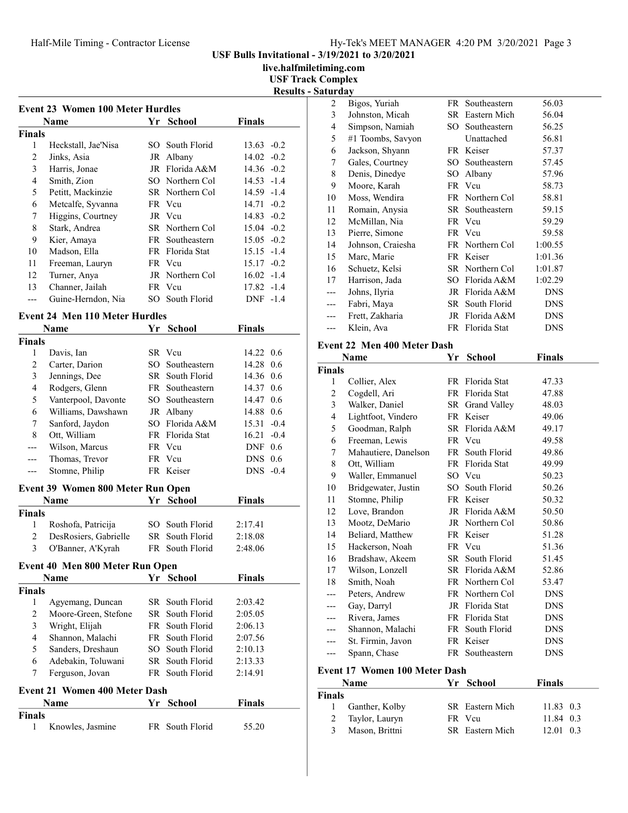# Half-Mile Timing - Contractor License Hy-Tek's MEET MANAGER 4:20 PM 3/20/2021 Page 3

USF Bulls Invitational - 3/19/2021 to 3/20/2021

live.halfmiletiming.com

USF Track Complex

| <b>Results - Saturday</b> |
|---------------------------|
|                           |

| Event 23 Women 100 Meter Hurdles |                     |     |                 |               |  |  |
|----------------------------------|---------------------|-----|-----------------|---------------|--|--|
|                                  | <b>Name</b>         | Yr. | School          | <b>Finals</b> |  |  |
| Finals                           |                     |     |                 |               |  |  |
| 1                                | Heckstall, Jae'Nisa | SO. | South Florid    | $13.63 - 0.2$ |  |  |
| 2                                | Jinks, Asia         | JR  | Albany          | $14.02 - 0.2$ |  |  |
| 3                                | Harris, Jonae       |     | JR Florida A&M  | $14.36 - 0.2$ |  |  |
| 4                                | Smith, Zion         |     | SO Northern Col | 14.53 -1.4    |  |  |
| 5                                | Petitt, Mackinzie   |     | SR Northern Col | $14.59 - 1.4$ |  |  |
| 6                                | Metcalfe, Syvanna   |     | FR Vcu          | $14.71 - 0.2$ |  |  |
| 7                                | Higgins, Courtney   |     | JR Veu          | $14.83 - 0.2$ |  |  |
| 8                                | Stark, Andrea       |     | SR Northern Col | $15.04 - 0.2$ |  |  |
| 9                                | Kier, Amaya         |     | FR Southeastern | $15.05 - 0.2$ |  |  |
| 10                               | Madson, Ella        |     | FR Florida Stat | $15.15 - 1.4$ |  |  |
| 11                               | Freeman, Lauryn     |     | FR Vcu          | $15.17 - 0.2$ |  |  |
| 12                               | Turner, Anya        |     | JR Northern Col | $16.02 -1.4$  |  |  |
| 13                               | Channer, Jailah     |     | FR Vcu          | 17.82 -1.4    |  |  |
|                                  | Guine-Herndon, Nia  |     | SO South Florid | DNF -1.4      |  |  |
|                                  |                     |     |                 |               |  |  |

# Event 24 Men 110 Meter Hurdles

| Name<br><b>School</b><br>Yr |                                      | <b>Finals</b> |                 |               |  |  |  |
|-----------------------------|--------------------------------------|---------------|-----------------|---------------|--|--|--|
| <b>Finals</b>               |                                      |               |                 |               |  |  |  |
| 1                           | Davis, Ian                           |               | SR Vcu          | 14.22 0.6     |  |  |  |
| $\overline{2}$              | Carter, Darion                       |               | SO Southeastern | 14.28 0.6     |  |  |  |
| 3                           | Jennings, Dee                        |               | SR South Florid | 14.36 0.6     |  |  |  |
| $\overline{4}$              | Rodgers, Glenn                       |               | FR Southeastern | 14.37 0.6     |  |  |  |
| 5                           | Vanterpool, Davonte                  |               | SO Southeastern | 14.47 0.6     |  |  |  |
| 6                           | Williams, Dawshawn                   |               | JR Albany       | 14.88 0.6     |  |  |  |
| 7                           | Sanford, Jaydon                      |               | SO Florida A&M  | 15.31 -0.4    |  |  |  |
| 8                           | Ott, William                         |               | FR Florida Stat | $16.21 - 0.4$ |  |  |  |
| $---$                       | Wilson, Marcus                       |               | FR Vcu          | $DNF$ 0.6     |  |  |  |
| ---                         | Thomas, Trevor                       |               | FR Vcu          | $DNS$ 0.6     |  |  |  |
| $---$                       | Stomne, Philip                       |               | FR Keiser       | $DNS -0.4$    |  |  |  |
|                             | Event 39 Women 800 Meter Run Open    |               |                 |               |  |  |  |
|                             | Name                                 | Yr            | <b>School</b>   | <b>Finals</b> |  |  |  |
| <b>Finals</b>               |                                      |               |                 |               |  |  |  |
| 1                           | Roshofa, Patricija                   | SO.           | South Florid    | 2:17.41       |  |  |  |
| 2                           | DesRosiers, Gabrielle                | SR -          | South Florid    | 2:18.08       |  |  |  |
| 3                           | O'Banner, A'Kyrah                    |               | FR South Florid | 2:48.06       |  |  |  |
|                             | Event 40 Men 800 Meter Run Open      |               |                 |               |  |  |  |
|                             | <b>Name</b>                          |               | Yr School       | <b>Finals</b> |  |  |  |
| <b>Finals</b>               |                                      |               |                 |               |  |  |  |
| 1                           | Agyemang, Duncan                     |               | SR South Florid | 2:03.42       |  |  |  |
| $\overline{c}$              | Moore-Green, Stefone                 |               | SR South Florid | 2:05.05       |  |  |  |
| 3                           | Wright, Elijah                       |               | FR South Florid | 2:06.13       |  |  |  |
| $\overline{4}$              | Shannon, Malachi                     |               | FR South Florid | 2:07.56       |  |  |  |
| 5                           | Sanders, Dreshaun                    | SO            | South Florid    | 2:10.13       |  |  |  |
| 6                           | Adebakin, Toluwani                   |               | SR South Florid | 2:13.33       |  |  |  |
| 7                           | Ferguson, Jovan                      |               | FR South Florid | 2:14.91       |  |  |  |
|                             | <b>Event 21 Women 400 Meter Dash</b> |               |                 |               |  |  |  |
|                             | Name                                 | Yr            | <b>School</b>   | <b>Finals</b> |  |  |  |
| <b>Finals</b>               |                                      |               |                 |               |  |  |  |
| 1                           | Knowles, Jasmine                     |               | FR South Florid | 55.20         |  |  |  |

| $\overline{c}$ | Bigos, Yuriah     |      | FR Southeastern | 56.03      |
|----------------|-------------------|------|-----------------|------------|
| 3              | Johnston, Micah   |      | SR Eastern Mich | 56.04      |
| 4              | Simpson, Namiah   | SO.  | Southeastern    | 56.25      |
| 5              | #1 Toombs, Savyon |      | Unattached      | 56.81      |
| 6              | Jackson, Shyann   |      | FR Keiser       | 57.37      |
| 7              | Gales, Courtney   | SO - | Southeastern    | 57.45      |
| 8              | Denis, Dinedye    | SO   | Albany          | 57.96      |
| 9              | Moore, Karah      |      | FR Vcu          | 58.73      |
| 10             | Moss, Wendira     |      | FR Northern Col | 58.81      |
| 11             | Romain, Anysia    |      | SR Southeastern | 59.15      |
| 12             | McMillan, Nia     |      | FR Vcu          | 59.29      |
| 13             | Pierre, Simone    |      | FR Vcu          | 59.58      |
| 14             | Johnson, Craiesha |      | FR Northern Col | 1:00.55    |
| 15             | Marc, Marie       |      | FR Keiser       | 1:01.36    |
| 16             | Schuetz, Kelsi    |      | SR Northern Col | 1:01.87    |
| 17             | Harrison, Jada    | SО   | Florida A&M     | 1:02.29    |
| ---            | Johns, Ilyria     |      | JR Florida A&M  | <b>DNS</b> |
| ---            | Fabri, Maya       |      | SR South Florid | <b>DNS</b> |
|                | Frett, Zakharia   |      | JR Florida A&M  | <b>DNS</b> |
|                | Klein, Ava        |      | FR Florida Stat | DNS        |
|                |                   |      |                 |            |

# Event 22 Men 400 Meter Dash

|                | Name                          | Yr   | School              | <b>Finals</b>   |
|----------------|-------------------------------|------|---------------------|-----------------|
| Finals         |                               |      |                     |                 |
| 1              | Collier, Alex                 |      | FR Florida Stat     | 47.33           |
| $\overline{c}$ | Cogdell, Ari                  |      | FR Florida Stat     | 47.88           |
| 3              | Walker, Daniel                | SR - | <b>Grand Valley</b> | 48.03           |
| 4              | Lightfoot, Vindero            |      | FR Keiser           | 49.06           |
| 5              | Goodman, Ralph                |      | SR Florida A&M      | 49.17           |
| 6              | Freeman, Lewis                |      | FR Vcu              | 49.58           |
| 7              | Mahautiere, Danelson          | FR - | South Florid        | 49.86           |
| 8              | Ott, William                  |      | FR Florida Stat     | 49.99           |
| 9              | Waller, Emmanuel              |      | SO Vcu              | 50.23           |
| 10             | Bridgewater, Justin           | SO   | South Florid        | 50.26           |
| 11             | Stomne, Philip                |      | FR Keiser           | 50.32           |
| 12             | Love, Brandon                 |      | JR Florida A&M      | 50.50           |
| 13             | Mootz, DeMario                |      | JR Northern Col     | 50.86           |
| 14             | Beliard, Matthew              |      | FR Keiser           | 51.28           |
| 15             | Hackerson, Noah               |      | FR Vcu              | 51.36           |
| 16             | Bradshaw, Akeem               | SR   | South Florid        | 51.45           |
| 17             | Wilson, Lonzell               |      | SR Florida A&M      | 52.86           |
| 18             | Smith, Noah                   |      | FR Northern Col     | 53.47           |
| ---            | Peters, Andrew                |      | FR Northern Col     | <b>DNS</b>      |
| ---            | Gay, Darryl                   |      | JR Florida Stat     | <b>DNS</b>      |
| ---            | Rivera, James                 |      | FR Florida Stat     | <b>DNS</b>      |
| ---            | Shannon, Malachi              | FR   | South Florid        | <b>DNS</b>      |
|                | St. Firmin, Javon             |      | FR Keiser           | <b>DNS</b>      |
| $---$          | Spann, Chase                  |      | FR Southeastern     | <b>DNS</b>      |
|                | Event 17 Women 100 Meter Dash |      |                     |                 |
|                | Name                          | Yr   | School              | <b>Finals</b>   |
| Finals         |                               |      |                     |                 |
| 1              | Ganther, Kolby                |      | SR Eastern Mich     | 11.83 0.3       |
| C              | Toylor Loury                  |      | $FD$ $V_{\alpha 1}$ | 11 $\Omega$ 0 2 |

| паіз |                  |                 |                   |  |
|------|------------------|-----------------|-------------------|--|
|      | 1 Ganther, Kolby | SR Eastern Mich | $11.83 \quad 0.3$ |  |
|      | 2 Taylor, Lauryn | FR Vcu          | 11.84 0.3         |  |
|      | 3 Mason, Brittni | SR Eastern Mich | $12.01 \quad 0.3$ |  |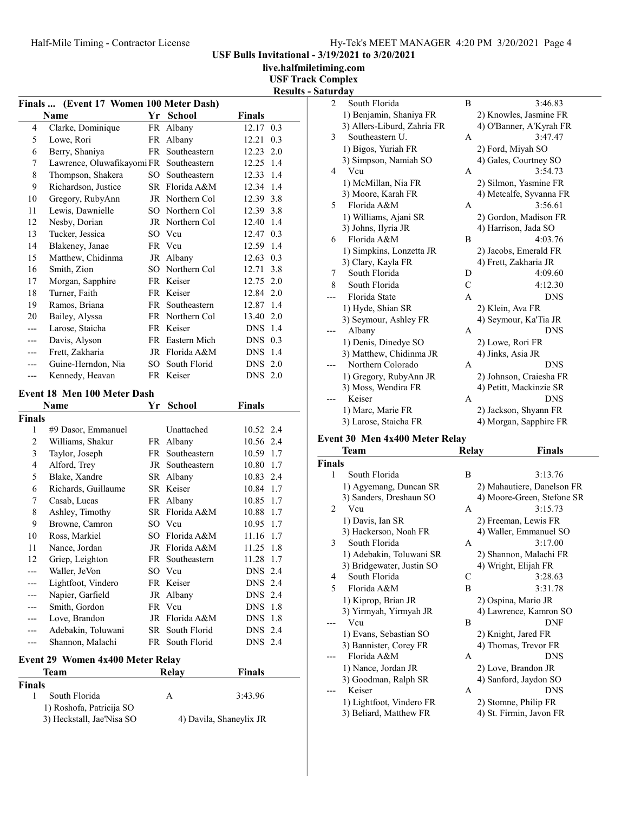USF Bulls Invitational - 3/19/2021 to 3/20/2021

live.halfmiletiming.com

USF Track Com

|  |  | <b>Results - Saturday</b> |  |
|--|--|---------------------------|--|
|--|--|---------------------------|--|

| Finals  (Event 17 Women 100 Meter Dash) |                             |     |                 |                   |  |  |  |
|-----------------------------------------|-----------------------------|-----|-----------------|-------------------|--|--|--|
|                                         | Name                        | Yr  | <b>School</b>   | <b>Finals</b>     |  |  |  |
| 4                                       | Clarke, Dominique           |     | FR Albany       | 12.17<br>0.3      |  |  |  |
| 5                                       | Lowe, Rori                  | FR  | Albany          | 0.3<br>12.21      |  |  |  |
| 6                                       | Berry, Shaniya              | FR. | Southeastern    | $12.23$ 2.0       |  |  |  |
| 7                                       | Lawrence, Oluwafikayomi FR  |     | Southeastern    | 12.25<br>1.4      |  |  |  |
| 8                                       | Thompson, Shakera           | SO. | Southeastern    | 12.33 1.4         |  |  |  |
| 9                                       | Richardson, Justice         |     | SR Florida A&M  | 12.34 1.4         |  |  |  |
| 10                                      | Gregory, RubyAnn            | JR  | Northern Col    | 12.39 3.8         |  |  |  |
| 11                                      | Lewis, Dawnielle            |     | SO Northern Col | 12.39 3.8         |  |  |  |
| 12                                      | Nesby, Dorian               |     | JR Northern Col | 12.40 1.4         |  |  |  |
| 13                                      | Tucker, Jessica             | SO. | Vcu             | 12.47<br>0.3      |  |  |  |
| 14                                      | Blakeney, Janae             |     | FR Vcu          | 12.59 1.4         |  |  |  |
| 15                                      | Matthew, Chidinma           |     | JR Albany       | 12.63<br>0.3      |  |  |  |
| 16                                      | Smith, Zion                 |     | SO Northern Col | 12.71 3.8         |  |  |  |
| 17                                      | Morgan, Sapphire            |     | FR Keiser       | 12.75 2.0         |  |  |  |
| 18                                      | Turner, Faith               |     | FR Keiser       | 12.84 2.0         |  |  |  |
| 19                                      | Ramos, Briana               |     | FR Southeastern | 12.87 1.4         |  |  |  |
| 20                                      | Bailey, Alyssa              |     | FR Northern Col | 13.40 2.0         |  |  |  |
| ---                                     | Larose, Staicha             |     | FR Keiser       | <b>DNS</b> 1.4    |  |  |  |
| ---                                     | Davis, Alyson               |     | FR Eastern Mich | $DNS$ 0.3         |  |  |  |
| ---                                     | Frett, Zakharia             | JR  | Florida A&M     | 1.4<br><b>DNS</b> |  |  |  |
|                                         | Guine-Herndon, Nia          | SO. | South Florid    | $DNS$ 2.0         |  |  |  |
| ---                                     | Kennedy, Heavan             |     | FR Keiser       | DNS 2.0           |  |  |  |
|                                         | Event 18 Men 100 Meter Dash |     |                 |                   |  |  |  |
|                                         | Name                        | Yr  | School          | Finals            |  |  |  |

1) Roshofa, Patricija SO

|                | Name                                    | Υr | School                 | Finals         |      |  |
|----------------|-----------------------------------------|----|------------------------|----------------|------|--|
| Finals         |                                         |    |                        |                |      |  |
| 1              | #9 Dasor, Emmanuel                      |    | Unattached             | 10.52 2.4      |      |  |
| $\overline{2}$ | Williams, Shakur                        | FR | Albany                 | 10.56 2.4      |      |  |
| 3              | Taylor, Joseph                          | FR | Southeastern           | 10.59 1.7      |      |  |
| 4              | Alford, Trey                            | JR | Southeastern           | 10.80          | 1.7  |  |
| 5              | Blake, Xandre                           |    | SR Albany              | 10.83 2.4      |      |  |
| 6              | Richards, Guillaume                     |    | SR Keiser              | 10.84 1.7      |      |  |
| 7              | Casab, Lucas                            | FR | Albany                 | 10.85          | 1.7  |  |
| 8              | Ashley, Timothy                         |    | SR Florida A&M         | 10.88 1.7      |      |  |
| 9              | Browne, Camron                          |    | SO Vcu                 | 10.95 1.7      |      |  |
| 10             | Ross, Markiel                           |    | SO Florida A&M         | 11.16          | -1.7 |  |
| 11             | Nance, Jordan                           | JR | Florida A&M            | 11.25          | 1.8  |  |
| 12             | Griep, Leighton                         |    | FR Southeastern        | 11.28          | 1.7  |  |
|                | Waller, JeVon                           |    | SO Vcu                 | <b>DNS</b>     | 2.4  |  |
|                | Lightfoot, Vindero                      |    | FR Keiser              | <b>DNS</b> 2.4 |      |  |
| ---            | Napier, Garfield                        |    | JR Albany              | <b>DNS</b> 2.4 |      |  |
|                | Smith, Gordon                           |    | FR Vcu                 | <b>DNS</b>     | -1.8 |  |
|                | Love, Brandon                           |    | JR Florida A&M         | <b>DNS</b>     | 1.8  |  |
|                | Adebakin, Toluwani                      |    | <b>SR</b> South Florid | <b>DNS</b> 2.4 |      |  |
|                | Shannon, Malachi                        |    | FR South Florid        | DNS 2.4        |      |  |
|                | <b>Event 29 Women 4x400 Meter Relay</b> |    |                        |                |      |  |
| Team           |                                         |    | Relay                  | Finals         |      |  |
| Finals         |                                         |    |                        |                |      |  |
| 1              | South Florida                           |    | A                      | 3:43.96        |      |  |

3) Heckstall, Jae'Nisa SO 4) Davila, Shaneylix JR

|                | omplex                      |               |                         |
|----------------|-----------------------------|---------------|-------------------------|
|                | urday                       |               |                         |
| $\overline{c}$ | South Florida               | B             | 3:46.83                 |
|                | 1) Benjamin, Shaniya FR     |               | 2) Knowles, Jasmine FR  |
|                | 3) Allers-Liburd, Zahria FR |               | 4) O'Banner, A'Kyrah FR |
| 3              | Southeastern U.             | A             | 3:47.47                 |
|                | 1) Bigos, Yuriah FR         |               | 2) Ford, Miyah SO       |
|                | 3) Simpson, Namiah SO       |               | 4) Gales, Courtney SO   |
| 4              | Vcu                         | A             | 3:54.73                 |
|                | 1) McMillan, Nia FR         |               | 2) Silmon, Yasmine FR   |
|                | 3) Moore, Karah FR          |               | 4) Metcalfe, Syvanna FR |
| 5              | Florida A&M                 | A             | 3:56.61                 |
|                | 1) Williams, Ajani SR       |               | 2) Gordon, Madison FR   |
|                | 3) Johns, Ilyria JR         |               | 4) Harrison, Jada SO    |
| 6              | Florida A&M                 | B             | 4:03.76                 |
|                | 1) Simpkins, Lonzetta JR    |               | 2) Jacobs, Emerald FR   |
|                | 3) Clary, Kayla FR          |               | 4) Frett, Zakharia JR   |
| 7              | South Florida               | D             | 4:09.60                 |
| 8              | South Florida               | $\mathcal{C}$ | 4:12.30                 |
|                | Florida State               | A             | <b>DNS</b>              |
|                | 1) Hyde, Shian SR           |               | 2) Klein, Ava FR        |
|                | 3) Seymour, Ashley FR       |               | 4) Seymour, Ka'Tia JR   |
|                | Albany                      | A             | <b>DNS</b>              |
|                | 1) Denis, Dinedye SO        |               | 2) Lowe, Rori FR        |
|                | 3) Matthew, Chidinma JR     |               | 4) Jinks, Asia JR       |
|                | Northern Colorado           | A             | <b>DNS</b>              |
|                | 1) Gregory, RubyAnn JR      |               | 2) Johnson, Craiesha FR |
|                | 3) Moss, Wendira FR         |               | 4) Petitt, Mackinzie SR |
|                | Keiser                      | A             | <b>DNS</b>              |
|                | 1) Marc, Marie FR           |               | 2) Jackson, Shyann FR   |
|                | 3) Larose, Staicha FR       |               | 4) Morgan, Sapphire FR  |

### Event 30 Men 4x400 Meter Relay

|               | <b>Team</b>               | Relay        | <b>Finals</b>              |
|---------------|---------------------------|--------------|----------------------------|
| <b>Finals</b> |                           |              |                            |
| 1             | South Florida             | B            | 3:13.76                    |
|               | 1) Agyemang, Duncan SR    |              | 2) Mahautiere, Danelson FR |
|               | 3) Sanders, Dreshaun SO   |              | 4) Moore-Green, Stefone SR |
| 2             | Vcu                       | A            | 3:15.73                    |
|               | 1) Davis, Ian SR          |              | 2) Freeman, Lewis FR       |
|               | 3) Hackerson, Noah FR     |              | 4) Waller, Emmanuel SO     |
| 3             | South Florida             | A            | 3:17.00                    |
|               | 1) Adebakin, Toluwani SR  |              | 2) Shannon, Malachi FR     |
|               | 3) Bridgewater, Justin SO |              | 4) Wright, Elijah FR       |
| 4             | South Florida             | C            | 3:28.63                    |
| 5             | Florida A&M               | B            | 3:31.78                    |
|               | 1) Kiprop, Brian JR       |              | 2) Ospina, Mario JR        |
|               | 3) Yirmyah, Yirmyah JR    |              | 4) Lawrence, Kamron SO     |
|               | Vcu                       | B            | <b>DNF</b>                 |
|               | 1) Evans, Sebastian SO    |              | 2) Knight, Jared FR        |
|               | 3) Bannister, Corey FR    |              | 4) Thomas, Trevor FR       |
|               | Florida A&M               | $\mathsf{A}$ | <b>DNS</b>                 |
|               | 1) Nance, Jordan JR       |              | 2) Love, Brandon JR        |
|               | 3) Goodman, Ralph SR      |              | 4) Sanford, Jaydon SO      |
| ---           | Keiser                    | A            | <b>DNS</b>                 |
|               | 1) Lightfoot, Vindero FR  |              | 2) Stomne, Philip FR       |
|               | 3) Beliard, Matthew FR    |              | 4) St. Firmin, Javon FR    |